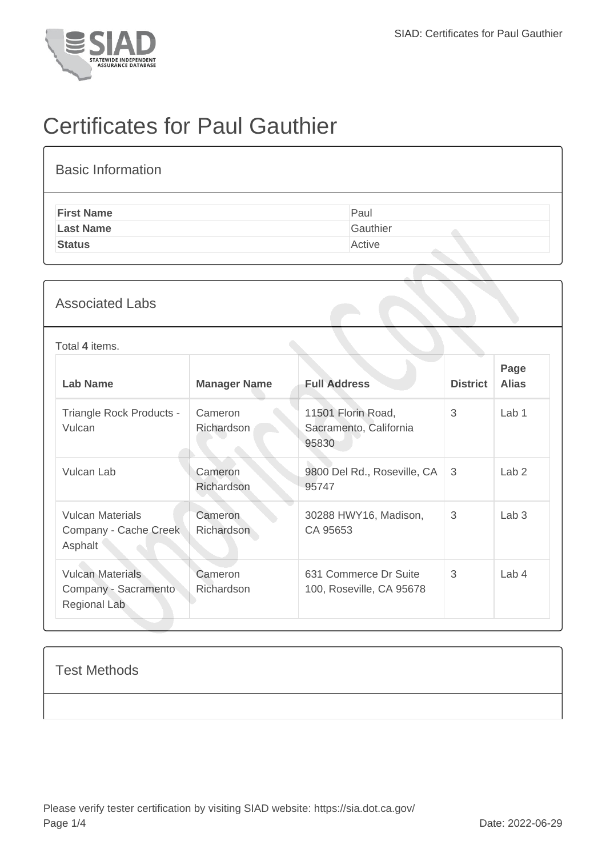

# Certificates for Paul Gauthier

| <b>Basic Information</b> |          |
|--------------------------|----------|
| <b>First Name</b>        | Paul     |
| <b>Last Name</b>         | Gauthier |
| <b>Status</b>            | Active   |

### Associated Labs

#### Total **4** items.

| <b>Lab Name</b>                                                 | <b>Manager Name</b>   | <b>Full Address</b>                                   | <b>District</b> | Page<br><b>Alias</b> |
|-----------------------------------------------------------------|-----------------------|-------------------------------------------------------|-----------------|----------------------|
| Triangle Rock Products -<br>Vulcan                              | Cameron<br>Richardson | 11501 Florin Road,<br>Sacramento, California<br>95830 | 3               | Lab <sub>1</sub>     |
| Vulcan Lab                                                      | Cameron<br>Richardson | 9800 Del Rd., Roseville, CA<br>95747                  | 3               | Lab <sub>2</sub>     |
| <b>Vulcan Materials</b><br>Company - Cache Creek<br>Asphalt     | Cameron<br>Richardson | 30288 HWY16, Madison,<br>CA 95653                     | 3               | Lab <sub>3</sub>     |
| <b>Vulcan Materials</b><br>Company - Sacramento<br>Regional Lab | Cameron<br>Richardson | 631 Commerce Dr Suite<br>100, Roseville, CA 95678     | 3               | Lab <sub>4</sub>     |

#### Test Methods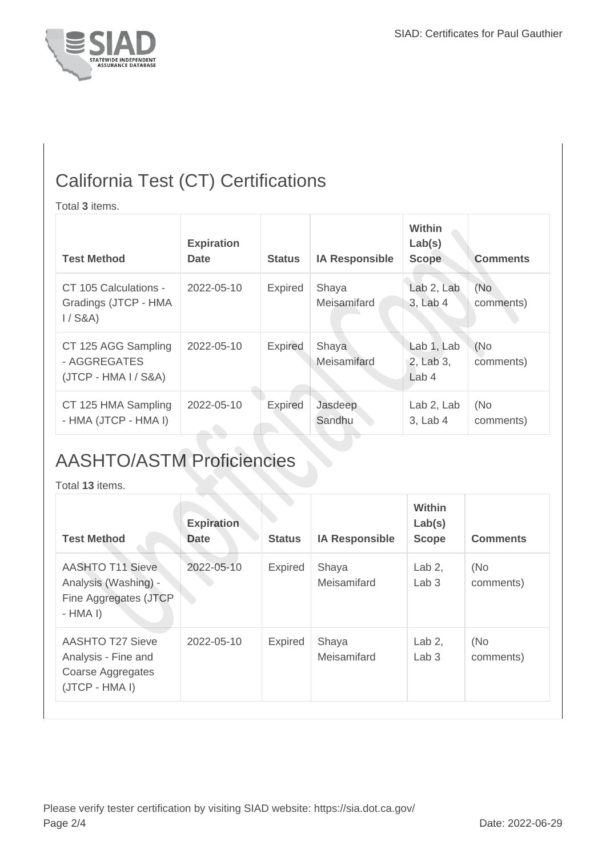

### California Test (CT) Certifications

Total **3** items.

| <b>Test Method</b>                                            | <b>Expiration</b><br><b>Date</b> | <b>Status</b>  | <b>IA Responsible</b> | Within<br>Lab(s)<br><b>Scope</b>            | <b>Comments</b>  |
|---------------------------------------------------------------|----------------------------------|----------------|-----------------------|---------------------------------------------|------------------|
| CT 105 Calculations -<br>Gradings (JTCP - HMA<br>$1/$ S&A)    | 2022-05-10                       | <b>Expired</b> | Shaya<br>Meisamifard  | Lab 2, Lab<br>3, Lab 4                      | (No<br>comments) |
| CT 125 AGG Sampling<br>- AGGREGATES<br>$(JTCP - HMA I / S&A)$ | 2022-05-10                       | <b>Expired</b> | Shaya<br>Meisamifard  | Lab 1, Lab<br>2, Lab 3,<br>Lab <sub>4</sub> | (No<br>comments) |
| CT 125 HMA Sampling<br>- HMA (JTCP - HMA I)                   | 2022-05-10                       | <b>Expired</b> | Jasdeep<br>Sandhu     | Lab 2, Lab<br>3, Lab 4                      | (No<br>comments) |

## AASHTO/ASTM Proficiencies

Total **13** items.

| <b>Test Method</b>                                                                    | <b>Expiration</b><br><b>Date</b> | <b>Status</b>  | <b>IA Responsible</b> | <b>Within</b><br>Lab(s)<br><b>Scope</b> | <b>Comments</b>  |
|---------------------------------------------------------------------------------------|----------------------------------|----------------|-----------------------|-----------------------------------------|------------------|
| <b>AASHTO T11 Sieve</b><br>Analysis (Washing) -<br>Fine Aggregates (JTCP<br>$-HMA I)$ | 2022-05-10                       | <b>Expired</b> | Shaya<br>Meisamifard  | Lab $2$ ,<br>Lab <sub>3</sub>           | (No<br>comments) |
| <b>AASHTO T27 Sieve</b><br>Analysis - Fine and<br>Coarse Aggregates<br>(JTCP - HMA I) | $2022 - 05 - 10$                 | <b>Expired</b> | Shaya<br>Meisamifard  | Lab $2$ ,<br>Lab <sub>3</sub>           | (No<br>comments) |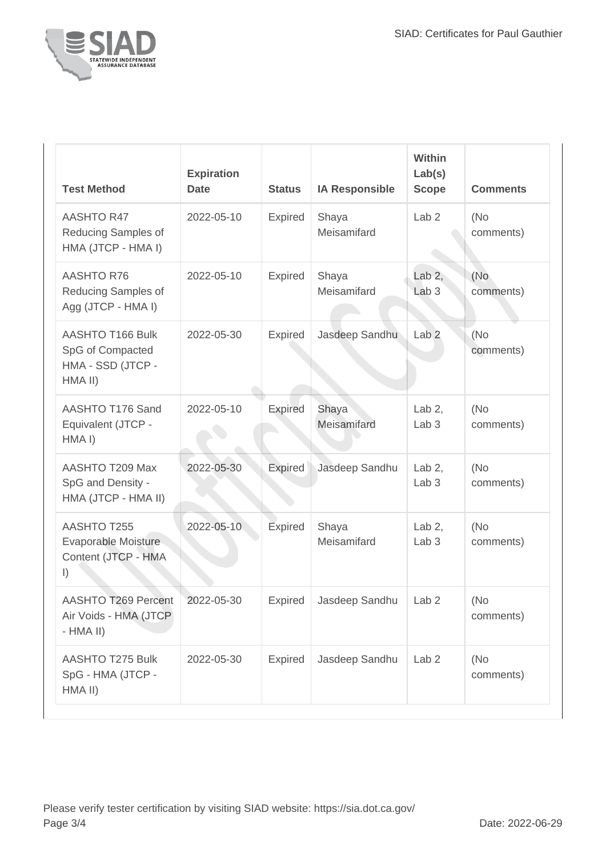

| <b>Test Method</b>                                                            | <b>Expiration</b><br><b>Date</b> | <b>Status</b>  | <b>IA Responsible</b> | Within<br>Lab(s)<br><b>Scope</b> | <b>Comments</b>  |
|-------------------------------------------------------------------------------|----------------------------------|----------------|-----------------------|----------------------------------|------------------|
| <b>AASHTO R47</b><br>Reducing Samples of<br>HMA (JTCP - HMA I)                | 2022-05-10                       | Expired        | Shaya<br>Meisamifard  | Lab <sub>2</sub>                 | (No<br>comments) |
| <b>AASHTO R76</b><br>Reducing Samples of<br>Agg (JTCP - HMA I)                | 2022-05-10                       | <b>Expired</b> | Shaya<br>Meisamifard  | Lab $2,$<br>Lab <sub>3</sub>     | (No<br>comments) |
| AASHTO T166 Bulk<br>SpG of Compacted<br>HMA - SSD (JTCP -<br>HMA II)          | 2022-05-30                       | <b>Expired</b> | Jasdeep Sandhu        | Lab <sub>2</sub>                 | (No<br>comments) |
| AASHTO T176 Sand<br>Equivalent (JTCP -<br>HMA I)                              | 2022-05-10                       | <b>Expired</b> | Shaya<br>Meisamifard  | Lab $2$ ,<br>Lab <sub>3</sub>    | (No<br>comments) |
| AASHTO T209 Max<br>SpG and Density -<br>HMA (JTCP - HMA II)                   | 2022-05-30                       | <b>Expired</b> | Jasdeep Sandhu        | Lab $2$ ,<br>Lab <sub>3</sub>    | (No<br>comments) |
| <b>AASHTO T255</b><br>Evaporable Moisture<br>Content (JTCP - HMA<br>$\vert$ ) | 2022-05-10                       | Expired        | Shaya<br>Meisamifard  | Lab $2$ ,<br>Lab <sub>3</sub>    | (No<br>comments) |
| AASHTO T269 Percent<br>Air Voids - HMA (JTCP)<br>$-HMA$ II)                   | 2022-05-30                       | Expired        | Jasdeep Sandhu        | Lab 2                            | (No<br>comments) |
| <b>AASHTO T275 Bulk</b><br>SpG - HMA (JTCP -<br>HMA II)                       | 2022-05-30                       | <b>Expired</b> | Jasdeep Sandhu        | Lab <sub>2</sub>                 | (No<br>comments) |